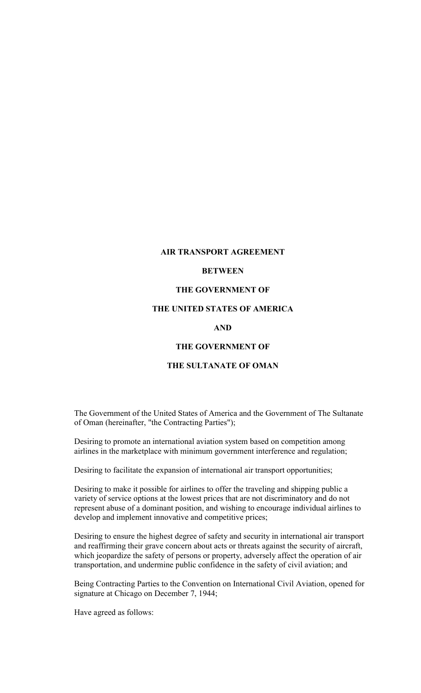### **AIR TRANSPORT AGREEMENT**

### **BETWEEN**

# **THE GOVERNMENT OF**

## **THE UNITED STATES OF AMERICA**

#### **AND**

## **THE GOVERNMENT OF**

## **THE SULTANATE OF OMAN**

The Government of the United States of America and the Government of The Sultanate of Oman (hereinafter, "the Contracting Parties");

Desiring to promote an international aviation system based on competition among airlines in the marketplace with minimum government interference and regulation;

Desiring to facilitate the expansion of international air transport opportunities;

Desiring to make it possible for airlines to offer the traveling and shipping public a variety of service options at the lowest prices that are not discriminatory and do not represent abuse of a dominant position, and wishing to encourage individual airlines to develop and implement innovative and competitive prices;

Desiring to ensure the highest degree of safety and security in international air transport and reaffirming their grave concern about acts or threats against the security of aircraft, which jeopardize the safety of persons or property, adversely affect the operation of air transportation, and undermine public confidence in the safety of civil aviation; and

Being Contracting Parties to the Convention on International Civil Aviation, opened for signature at Chicago on December 7, 1944;

Have agreed as follows: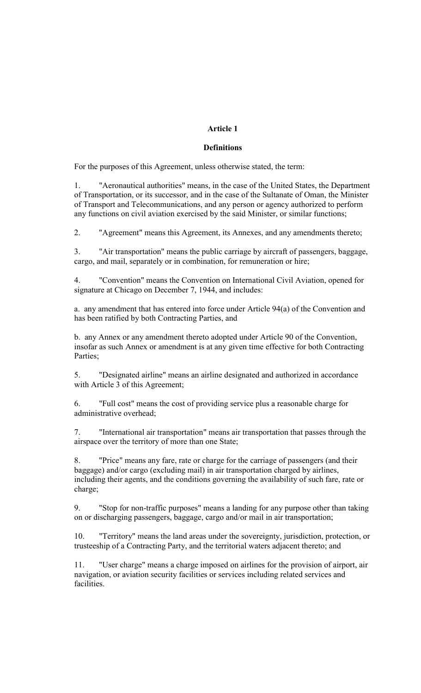# **Article 1**

## **Definitions**

For the purposes of this Agreement, unless otherwise stated, the term:

1. "Aeronautical authorities" means, in the case of the United States, the Department of Transportation, or its successor, and in the case of the Sultanate of Oman, the Minister of Transport and Telecommunications, and any person or agency authorized to perform any functions on civil aviation exercised by the said Minister, or similar functions;

2. "Agreement" means this Agreement, its Annexes, and any amendments thereto;

3. "Air transportation" means the public carriage by aircraft of passengers, baggage, cargo, and mail, separately or in combination, for remuneration or hire;

4. "Convention" means the Convention on International Civil Aviation, opened for signature at Chicago on December 7, 1944, and includes:

a. any amendment that has entered into force under Article 94(a) of the Convention and has been ratified by both Contracting Parties, and

b. any Annex or any amendment thereto adopted under Article 90 of the Convention, insofar as such Annex or amendment is at any given time effective for both Contracting Parties;

5. "Designated airline" means an airline designated and authorized in accordance with Article 3 of this Agreement;

6. "Full cost" means the cost of providing service plus a reasonable charge for administrative overhead;

7. "International air transportation" means air transportation that passes through the airspace over the territory of more than one State;

8. "Price" means any fare, rate or charge for the carriage of passengers (and their baggage) and/or cargo (excluding mail) in air transportation charged by airlines, including their agents, and the conditions governing the availability of such fare, rate or charge;

9. "Stop for non-traffic purposes" means a landing for any purpose other than taking on or discharging passengers, baggage, cargo and/or mail in air transportation;

10. "Territory" means the land areas under the sovereignty, jurisdiction, protection, or trusteeship of a Contracting Party, and the territorial waters adjacent thereto; and

11. "User charge" means a charge imposed on airlines for the provision of airport, air navigation, or aviation security facilities or services including related services and facilities.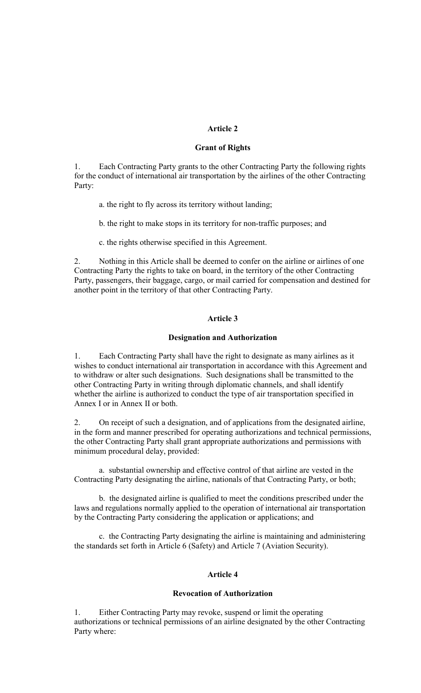## **Article 2**

#### **Grant of Rights**

1. Each Contracting Party grants to the other Contracting Party the following rights for the conduct of international air transportation by the airlines of the other Contracting Party:

- a. the right to fly across its territory without landing;
- b. the right to make stops in its territory for non-traffic purposes; and
- c. the rights otherwise specified in this Agreement.

2. Nothing in this Article shall be deemed to confer on the airline or airlines of one Contracting Party the rights to take on board, in the territory of the other Contracting Party, passengers, their baggage, cargo, or mail carried for compensation and destined for another point in the territory of that other Contracting Party.

### **Article 3**

#### **Designation and Authorization**

1. Each Contracting Party shall have the right to designate as many airlines as it wishes to conduct international air transportation in accordance with this Agreement and to withdraw or alter such designations. Such designations shall be transmitted to the other Contracting Party in writing through diplomatic channels, and shall identify whether the airline is authorized to conduct the type of air transportation specified in Annex I or in Annex II or both.

2. On receipt of such a designation, and of applications from the designated airline, in the form and manner prescribed for operating authorizations and technical permissions, the other Contracting Party shall grant appropriate authorizations and permissions with minimum procedural delay, provided:

a. substantial ownership and effective control of that airline are vested in the Contracting Party designating the airline, nationals of that Contracting Party, or both;

b. the designated airline is qualified to meet the conditions prescribed under the laws and regulations normally applied to the operation of international air transportation by the Contracting Party considering the application or applications; and

c. the Contracting Party designating the airline is maintaining and administering the standards set forth in Article 6 (Safety) and Article 7 (Aviation Security).

### **Article 4**

## **Revocation of Authorization**

1. Either Contracting Party may revoke, suspend or limit the operating authorizations or technical permissions of an airline designated by the other Contracting Party where: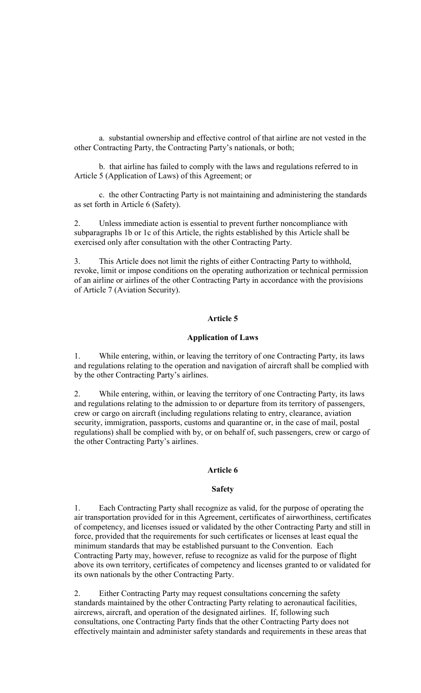a. substantial ownership and effective control of that airline are not vested in the other Contracting Party, the Contracting Party's nationals, or both;

b. that airline has failed to comply with the laws and regulations referred to in Article 5 (Application of Laws) of this Agreement; or

c. the other Contracting Party is not maintaining and administering the standards as set forth in Article 6 (Safety).

2. Unless immediate action is essential to prevent further noncompliance with subparagraphs 1b or 1c of this Article, the rights established by this Article shall be exercised only after consultation with the other Contracting Party.

3. This Article does not limit the rights of either Contracting Party to withhold, revoke, limit or impose conditions on the operating authorization or technical permission of an airline or airlines of the other Contracting Party in accordance with the provisions of Article 7 (Aviation Security).

### **Article 5**

### **Application of Laws**

1. While entering, within, or leaving the territory of one Contracting Party, its laws and regulations relating to the operation and navigation of aircraft shall be complied with by the other Contracting Party's airlines.

2. While entering, within, or leaving the territory of one Contracting Party, its laws and regulations relating to the admission to or departure from its territory of passengers, crew or cargo on aircraft (including regulations relating to entry, clearance, aviation security, immigration, passports, customs and quarantine or, in the case of mail, postal regulations) shall be complied with by, or on behalf of, such passengers, crew or cargo of the other Contracting Party's airlines.

## **Article 6**

#### **Safety**

1. Each Contracting Party shall recognize as valid, for the purpose of operating the air transportation provided for in this Agreement, certificates of airworthiness, certificates of competency, and licenses issued or validated by the other Contracting Party and still in force, provided that the requirements for such certificates or licenses at least equal the minimum standards that may be established pursuant to the Convention. Each Contracting Party may, however, refuse to recognize as valid for the purpose of flight above its own territory, certificates of competency and licenses granted to or validated for its own nationals by the other Contracting Party.

2. Either Contracting Party may request consultations concerning the safety standards maintained by the other Contracting Party relating to aeronautical facilities, aircrews, aircraft, and operation of the designated airlines. If, following such consultations, one Contracting Party finds that the other Contracting Party does not effectively maintain and administer safety standards and requirements in these areas that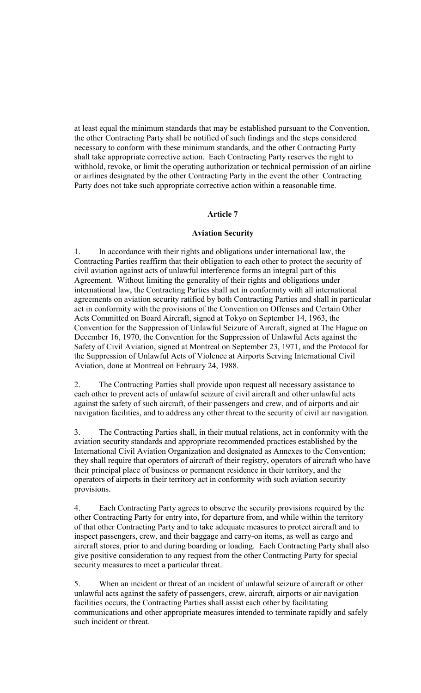at least equal the minimum standards that may be established pursuant to the Convention, the other Contracting Party shall be notified of such findings and the steps considered necessary to conform with these minimum standards, and the other Contracting Party shall take appropriate corrective action. Each Contracting Party reserves the right to withhold, revoke, or limit the operating authorization or technical permission of an airline or airlines designated by the other Contracting Party in the event the other Contracting Party does not take such appropriate corrective action within a reasonable time.

## **Article 7**

### **Aviation Security**

1. In accordance with their rights and obligations under international law, the Contracting Parties reaffirm that their obligation to each other to protect the security of civil aviation against acts of unlawful interference forms an integral part of this Agreement. Without limiting the generality of their rights and obligations under international law, the Contracting Parties shall act in conformity with all international agreements on aviation security ratified by both Contracting Parties and shall in particular act in conformity with the provisions of the Convention on Offenses and Certain Other Acts Committed on Board Aircraft, signed at Tokyo on September 14, 1963, the Convention for the Suppression of Unlawful Seizure of Aircraft, signed at The Hague on December 16, 1970, the Convention for the Suppression of Unlawful Acts against the Safety of Civil Aviation, signed at Montreal on September 23, 1971, and the Protocol for the Suppression of Unlawful Acts of Violence at Airports Serving International Civil Aviation, done at Montreal on February 24, 1988.

2. The Contracting Parties shall provide upon request all necessary assistance to each other to prevent acts of unlawful seizure of civil aircraft and other unlawful acts against the safety of such aircraft, of their passengers and crew, and of airports and air navigation facilities, and to address any other threat to the security of civil air navigation.

3. The Contracting Parties shall, in their mutual relations, act in conformity with the aviation security standards and appropriate recommended practices established by the International Civil Aviation Organization and designated as Annexes to the Convention; they shall require that operators of aircraft of their registry, operators of aircraft who have their principal place of business or permanent residence in their territory, and the operators of airports in their territory act in conformity with such aviation security provisions.

4. Each Contracting Party agrees to observe the security provisions required by the other Contracting Party for entry into, for departure from, and while within the territory of that other Contracting Party and to take adequate measures to protect aircraft and to inspect passengers, crew, and their baggage and carry-on items, as well as cargo and aircraft stores, prior to and during boarding or loading. Each Contracting Party shall also give positive consideration to any request from the other Contracting Party for special security measures to meet a particular threat.

5. When an incident or threat of an incident of unlawful seizure of aircraft or other unlawful acts against the safety of passengers, crew, aircraft, airports or air navigation facilities occurs, the Contracting Parties shall assist each other by facilitating communications and other appropriate measures intended to terminate rapidly and safely such incident or threat.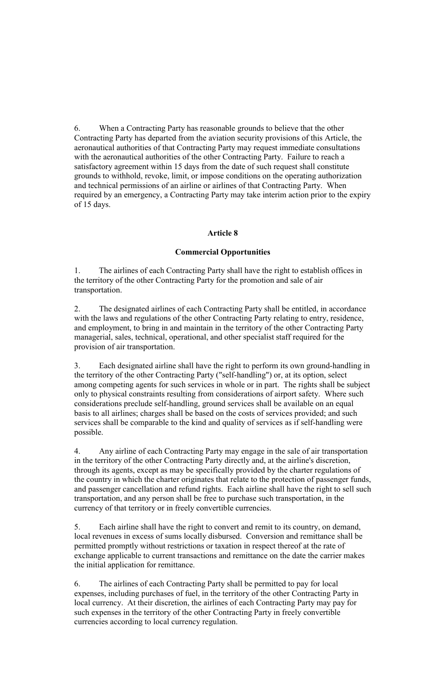6. When a Contracting Party has reasonable grounds to believe that the other Contracting Party has departed from the aviation security provisions of this Article, the aeronautical authorities of that Contracting Party may request immediate consultations with the aeronautical authorities of the other Contracting Party. Failure to reach a satisfactory agreement within 15 days from the date of such request shall constitute grounds to withhold, revoke, limit, or impose conditions on the operating authorization and technical permissions of an airline or airlines of that Contracting Party. When required by an emergency, a Contracting Party may take interim action prior to the expiry of 15 days.

## **Article 8**

## **Commercial Opportunities**

1. The airlines of each Contracting Party shall have the right to establish offices in the territory of the other Contracting Party for the promotion and sale of air transportation.

2. The designated airlines of each Contracting Party shall be entitled, in accordance with the laws and regulations of the other Contracting Party relating to entry, residence, and employment, to bring in and maintain in the territory of the other Contracting Party managerial, sales, technical, operational, and other specialist staff required for the provision of air transportation.

3. Each designated airline shall have the right to perform its own ground-handling in the territory of the other Contracting Party ("self-handling") or, at its option, select among competing agents for such services in whole or in part. The rights shall be subject only to physical constraints resulting from considerations of airport safety. Where such considerations preclude self-handling, ground services shall be available on an equal basis to all airlines; charges shall be based on the costs of services provided; and such services shall be comparable to the kind and quality of services as if self-handling were possible.

4. Any airline of each Contracting Party may engage in the sale of air transportation in the territory of the other Contracting Party directly and, at the airline's discretion, through its agents, except as may be specifically provided by the charter regulations of the country in which the charter originates that relate to the protection of passenger funds, and passenger cancellation and refund rights. Each airline shall have the right to sell such transportation, and any person shall be free to purchase such transportation, in the currency of that territory or in freely convertible currencies.

5. Each airline shall have the right to convert and remit to its country, on demand, local revenues in excess of sums locally disbursed. Conversion and remittance shall be permitted promptly without restrictions or taxation in respect thereof at the rate of exchange applicable to current transactions and remittance on the date the carrier makes the initial application for remittance.

6. The airlines of each Contracting Party shall be permitted to pay for local expenses, including purchases of fuel, in the territory of the other Contracting Party in local currency. At their discretion, the airlines of each Contracting Party may pay for such expenses in the territory of the other Contracting Party in freely convertible currencies according to local currency regulation.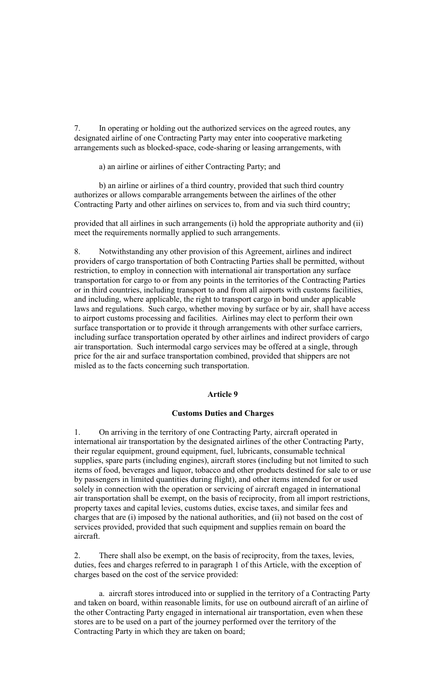7. In operating or holding out the authorized services on the agreed routes, any designated airline of one Contracting Party may enter into cooperative marketing arrangements such as blocked-space, code-sharing or leasing arrangements, with

a) an airline or airlines of either Contracting Party; and

b) an airline or airlines of a third country, provided that such third country authorizes or allows comparable arrangements between the airlines of the other Contracting Party and other airlines on services to, from and via such third country;

provided that all airlines in such arrangements (i) hold the appropriate authority and (ii) meet the requirements normally applied to such arrangements.

8. Notwithstanding any other provision of this Agreement, airlines and indirect providers of cargo transportation of both Contracting Parties shall be permitted, without restriction, to employ in connection with international air transportation any surface transportation for cargo to or from any points in the territories of the Contracting Parties or in third countries, including transport to and from all airports with customs facilities, and including, where applicable, the right to transport cargo in bond under applicable laws and regulations. Such cargo, whether moving by surface or by air, shall have access to airport customs processing and facilities. Airlines may elect to perform their own surface transportation or to provide it through arrangements with other surface carriers, including surface transportation operated by other airlines and indirect providers of cargo air transportation. Such intermodal cargo services may be offered at a single, through price for the air and surface transportation combined, provided that shippers are not misled as to the facts concerning such transportation.

#### **Article 9**

#### **Customs Duties and Charges**

1. On arriving in the territory of one Contracting Party, aircraft operated in international air transportation by the designated airlines of the other Contracting Party, their regular equipment, ground equipment, fuel, lubricants, consumable technical supplies, spare parts (including engines), aircraft stores (including but not limited to such items of food, beverages and liquor, tobacco and other products destined for sale to or use by passengers in limited quantities during flight), and other items intended for or used solely in connection with the operation or servicing of aircraft engaged in international air transportation shall be exempt, on the basis of reciprocity, from all import restrictions, property taxes and capital levies, customs duties, excise taxes, and similar fees and charges that are (i) imposed by the national authorities, and (ii) not based on the cost of services provided, provided that such equipment and supplies remain on board the aircraft.

2. There shall also be exempt, on the basis of reciprocity, from the taxes, levies, duties, fees and charges referred to in paragraph 1 of this Article, with the exception of charges based on the cost of the service provided:

a. aircraft stores introduced into or supplied in the territory of a Contracting Party and taken on board, within reasonable limits, for use on outbound aircraft of an airline of the other Contracting Party engaged in international air transportation, even when these stores are to be used on a part of the journey performed over the territory of the Contracting Party in which they are taken on board;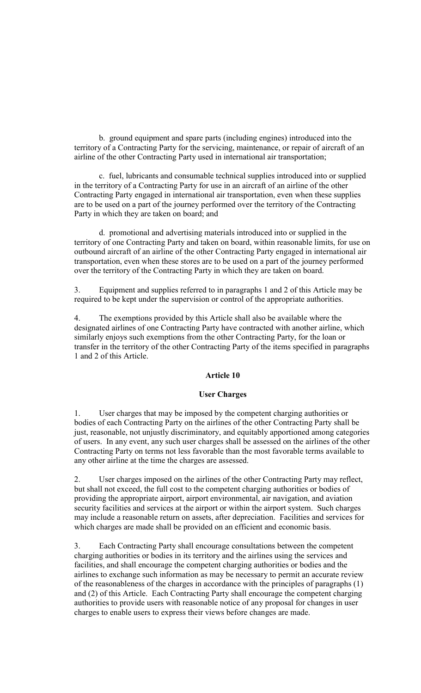b. ground equipment and spare parts (including engines) introduced into the territory of a Contracting Party for the servicing, maintenance, or repair of aircraft of an airline of the other Contracting Party used in international air transportation;

c. fuel, lubricants and consumable technical supplies introduced into or supplied in the territory of a Contracting Party for use in an aircraft of an airline of the other Contracting Party engaged in international air transportation, even when these supplies are to be used on a part of the journey performed over the territory of the Contracting Party in which they are taken on board; and

d. promotional and advertising materials introduced into or supplied in the territory of one Contracting Party and taken on board, within reasonable limits, for use on outbound aircraft of an airline of the other Contracting Party engaged in international air transportation, even when these stores are to be used on a part of the journey performed over the territory of the Contracting Party in which they are taken on board.

3. Equipment and supplies referred to in paragraphs 1 and 2 of this Article may be required to be kept under the supervision or control of the appropriate authorities.

4. The exemptions provided by this Article shall also be available where the designated airlines of one Contracting Party have contracted with another airline, which similarly enjoys such exemptions from the other Contracting Party, for the loan or transfer in the territory of the other Contracting Party of the items specified in paragraphs 1 and 2 of this Article.

### **Article 10**

#### **User Charges**

1. User charges that may be imposed by the competent charging authorities or bodies of each Contracting Party on the airlines of the other Contracting Party shall be just, reasonable, not unjustly discriminatory, and equitably apportioned among categories of users. In any event, any such user charges shall be assessed on the airlines of the other Contracting Party on terms not less favorable than the most favorable terms available to any other airline at the time the charges are assessed.

2. User charges imposed on the airlines of the other Contracting Party may reflect, but shall not exceed, the full cost to the competent charging authorities or bodies of providing the appropriate airport, airport environmental, air navigation, and aviation security facilities and services at the airport or within the airport system. Such charges may include a reasonable return on assets, after depreciation. Facilities and services for which charges are made shall be provided on an efficient and economic basis.

3. Each Contracting Party shall encourage consultations between the competent charging authorities or bodies in its territory and the airlines using the services and facilities, and shall encourage the competent charging authorities or bodies and the airlines to exchange such information as may be necessary to permit an accurate review of the reasonableness of the charges in accordance with the principles of paragraphs (1) and (2) of this Article. Each Contracting Party shall encourage the competent charging authorities to provide users with reasonable notice of any proposal for changes in user charges to enable users to express their views before changes are made.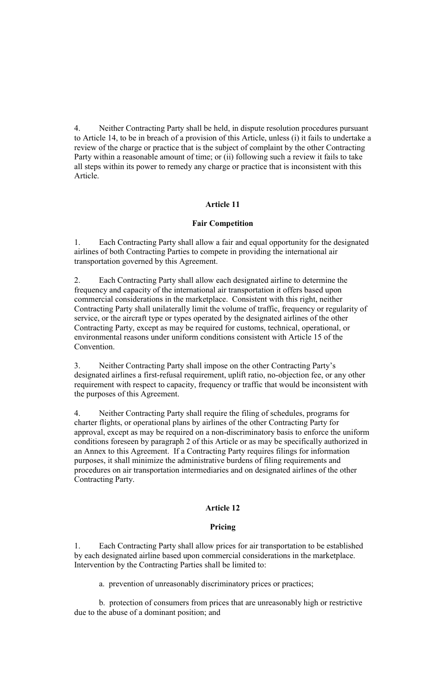4. Neither Contracting Party shall be held, in dispute resolution procedures pursuant to Article 14, to be in breach of a provision of this Article, unless (i) it fails to undertake a review of the charge or practice that is the subject of complaint by the other Contracting Party within a reasonable amount of time; or (ii) following such a review it fails to take all steps within its power to remedy any charge or practice that is inconsistent with this Article.

# **Article 11**

## **Fair Competition**

1. Each Contracting Party shall allow a fair and equal opportunity for the designated airlines of both Contracting Parties to compete in providing the international air transportation governed by this Agreement.

2. Each Contracting Party shall allow each designated airline to determine the frequency and capacity of the international air transportation it offers based upon commercial considerations in the marketplace. Consistent with this right, neither Contracting Party shall unilaterally limit the volume of traffic, frequency or regularity of service, or the aircraft type or types operated by the designated airlines of the other Contracting Party, except as may be required for customs, technical, operational, or environmental reasons under uniform conditions consistent with Article 15 of the Convention.

3. Neither Contracting Party shall impose on the other Contracting Party's designated airlines a first-refusal requirement, uplift ratio, no-objection fee, or any other requirement with respect to capacity, frequency or traffic that would be inconsistent with the purposes of this Agreement.

4. Neither Contracting Party shall require the filing of schedules, programs for charter flights, or operational plans by airlines of the other Contracting Party for approval, except as may be required on a non-discriminatory basis to enforce the uniform conditions foreseen by paragraph 2 of this Article or as may be specifically authorized in an Annex to this Agreement. If a Contracting Party requires filings for information purposes, it shall minimize the administrative burdens of filing requirements and procedures on air transportation intermediaries and on designated airlines of the other Contracting Party.

## **Article 12**

## **Pricing**

1. Each Contracting Party shall allow prices for air transportation to be established by each designated airline based upon commercial considerations in the marketplace. Intervention by the Contracting Parties shall be limited to:

a. prevention of unreasonably discriminatory prices or practices;

b. protection of consumers from prices that are unreasonably high or restrictive due to the abuse of a dominant position; and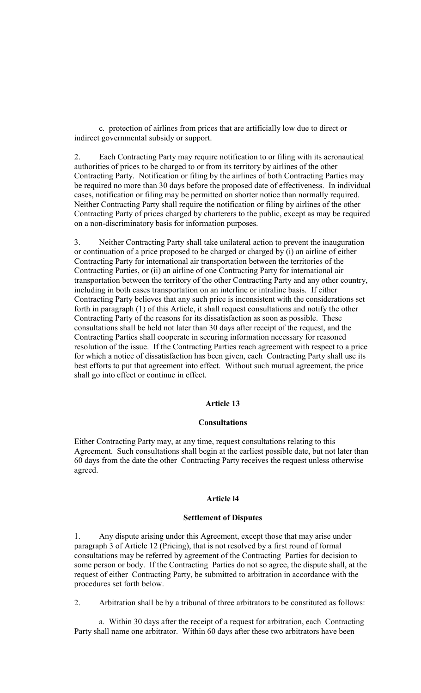c. protection of airlines from prices that are artificially low due to direct or indirect governmental subsidy or support.

2. Each Contracting Party may require notification to or filing with its aeronautical authorities of prices to be charged to or from its territory by airlines of the other Contracting Party. Notification or filing by the airlines of both Contracting Parties may be required no more than 30 days before the proposed date of effectiveness. In individual cases, notification or filing may be permitted on shorter notice than normally required. Neither Contracting Party shall require the notification or filing by airlines of the other Contracting Party of prices charged by charterers to the public, except as may be required on a non-discriminatory basis for information purposes.

3. Neither Contracting Party shall take unilateral action to prevent the inauguration or continuation of a price proposed to be charged or charged by (i) an airline of either Contracting Party for international air transportation between the territories of the Contracting Parties, or (ii) an airline of one Contracting Party for international air transportation between the territory of the other Contracting Party and any other country, including in both cases transportation on an interline or intraline basis. If either Contracting Party believes that any such price is inconsistent with the considerations set forth in paragraph (1) of this Article, it shall request consultations and notify the other Contracting Party of the reasons for its dissatisfaction as soon as possible. These consultations shall be held not later than 30 days after receipt of the request, and the Contracting Parties shall cooperate in securing information necessary for reasoned resolution of the issue. If the Contracting Parties reach agreement with respect to a price for which a notice of dissatisfaction has been given, each Contracting Party shall use its best efforts to put that agreement into effect. Without such mutual agreement, the price shall go into effect or continue in effect.

#### **Article 13**

#### **Consultations**

Either Contracting Party may, at any time, request consultations relating to this Agreement. Such consultations shall begin at the earliest possible date, but not later than 60 days from the date the other Contracting Party receives the request unless otherwise agreed.

#### **Article l4**

## **Settlement of Disputes**

1. Any dispute arising under this Agreement, except those that may arise under paragraph 3 of Article 12 (Pricing), that is not resolved by a first round of formal consultations may be referred by agreement of the Contracting Parties for decision to some person or body. If the Contracting Parties do not so agree, the dispute shall, at the request of either Contracting Party, be submitted to arbitration in accordance with the procedures set forth below.

2. Arbitration shall be by a tribunal of three arbitrators to be constituted as follows:

a. Within 30 days after the receipt of a request for arbitration, each Contracting Party shall name one arbitrator. Within 60 days after these two arbitrators have been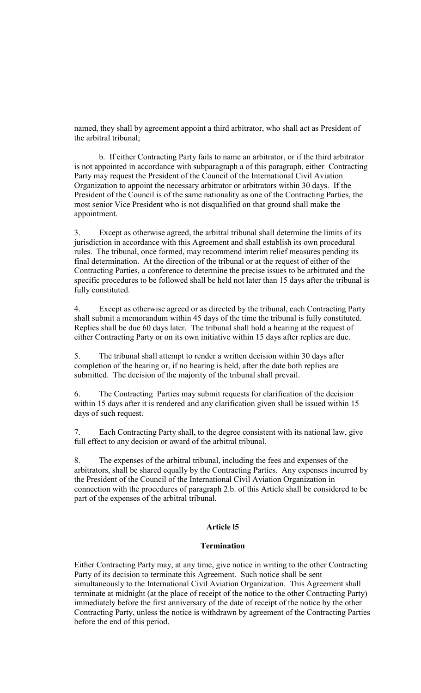named, they shall by agreement appoint a third arbitrator, who shall act as President of the arbitral tribunal;

b. If either Contracting Party fails to name an arbitrator, or if the third arbitrator is not appointed in accordance with subparagraph a of this paragraph, either Contracting Party may request the President of the Council of the International Civil Aviation Organization to appoint the necessary arbitrator or arbitrators within 30 days. If the President of the Council is of the same nationality as one of the Contracting Parties, the most senior Vice President who is not disqualified on that ground shall make the appointment.

3. Except as otherwise agreed, the arbitral tribunal shall determine the limits of its jurisdiction in accordance with this Agreement and shall establish its own procedural rules. The tribunal, once formed, may recommend interim relief measures pending its final determination. At the direction of the tribunal or at the request of either of the Contracting Parties, a conference to determine the precise issues to be arbitrated and the specific procedures to be followed shall be held not later than 15 days after the tribunal is fully constituted.

4. Except as otherwise agreed or as directed by the tribunal, each Contracting Party shall submit a memorandum within 45 days of the time the tribunal is fully constituted. Replies shall be due 60 days later. The tribunal shall hold a hearing at the request of either Contracting Party or on its own initiative within 15 days after replies are due.

5. The tribunal shall attempt to render a written decision within 30 days after completion of the hearing or, if no hearing is held, after the date both replies are submitted. The decision of the majority of the tribunal shall prevail.

6. The Contracting Parties may submit requests for clarification of the decision within 15 days after it is rendered and any clarification given shall be issued within 15 days of such request.

7. Each Contracting Party shall, to the degree consistent with its national law, give full effect to any decision or award of the arbitral tribunal.

8. The expenses of the arbitral tribunal, including the fees and expenses of the arbitrators, shall be shared equally by the Contracting Parties. Any expenses incurred by the President of the Council of the International Civil Aviation Organization in connection with the procedures of paragraph 2.b. of this Article shall be considered to be part of the expenses of the arbitral tribunal.

## **Article l5**

#### **Termination**

Either Contracting Party may, at any time, give notice in writing to the other Contracting Party of its decision to terminate this Agreement. Such notice shall be sent simultaneously to the International Civil Aviation Organization. This Agreement shall terminate at midnight (at the place of receipt of the notice to the other Contracting Party) immediately before the first anniversary of the date of receipt of the notice by the other Contracting Party, unless the notice is withdrawn by agreement of the Contracting Parties before the end of this period.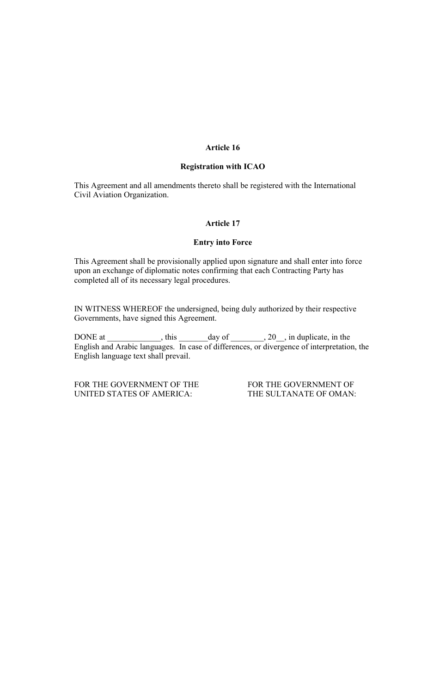### **Article 16**

#### **Registration with ICAO**

This Agreement and all amendments thereto shall be registered with the International Civil Aviation Organization.

## **Article 17**

### **Entry into Force**

This Agreement shall be provisionally applied upon signature and shall enter into force upon an exchange of diplomatic notes confirming that each Contracting Party has completed all of its necessary legal procedures.

IN WITNESS WHEREOF the undersigned, being duly authorized by their respective Governments, have signed this Agreement.

DONE at  $\frac{1}{\sqrt{2\pi}}$ , this  $\frac{1}{\sqrt{2\pi}}$  day of  $\frac{1}{\sqrt{2\pi}}$ , in duplicate, in the English and Arabic languages. In case of differences, or divergence of interpretation, the English language text shall prevail.

FOR THE GOVERNMENT OF THE FOR THE GOVERNMENT OF UNITED STATES OF AMERICA: THE SULTANATE OF OMAN: UNITED STATES OF AMERICA: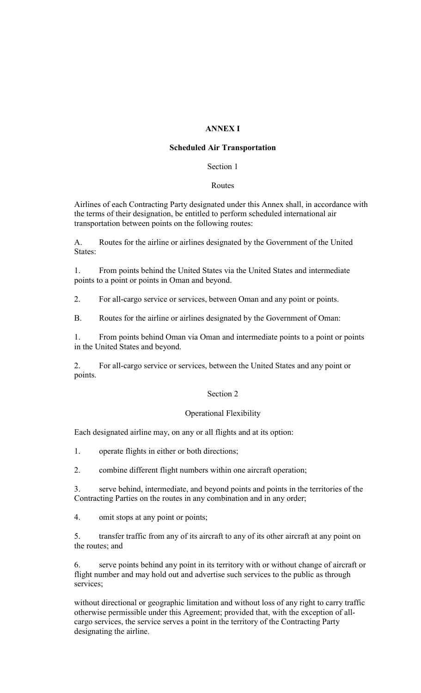# **ANNEX I**

## **Scheduled Air Transportation**

## Section 1

## Routes

Airlines of each Contracting Party designated under this Annex shall, in accordance with the terms of their designation, be entitled to perform scheduled international air transportation between points on the following routes:

A. Routes for the airline or airlines designated by the Government of the United States:

1. From points behind the United States via the United States and intermediate points to a point or points in Oman and beyond.

2. For all-cargo service or services, between Oman and any point or points.

B. Routes for the airline or airlines designated by the Government of Oman:

1. From points behind Oman via Oman and intermediate points to a point or points in the United States and beyond.

2. For all-cargo service or services, between the United States and any point or points.

## Section 2

## Operational Flexibility

Each designated airline may, on any or all flights and at its option:

1. operate flights in either or both directions;

2. combine different flight numbers within one aircraft operation;

3. serve behind, intermediate, and beyond points and points in the territories of the Contracting Parties on the routes in any combination and in any order;

4. omit stops at any point or points;

5. transfer traffic from any of its aircraft to any of its other aircraft at any point on the routes; and

6. serve points behind any point in its territory with or without change of aircraft or flight number and may hold out and advertise such services to the public as through services;

without directional or geographic limitation and without loss of any right to carry traffic otherwise permissible under this Agreement; provided that, with the exception of allcargo services, the service serves a point in the territory of the Contracting Party designating the airline.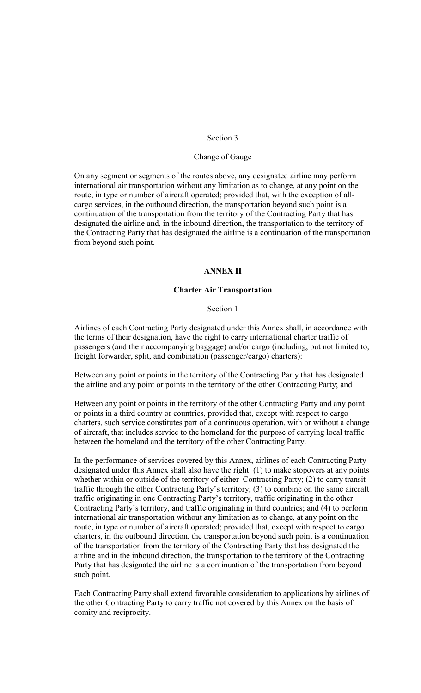### Section 3

### Change of Gauge

On any segment or segments of the routes above, any designated airline may perform international air transportation without any limitation as to change, at any point on the route, in type or number of aircraft operated; provided that, with the exception of allcargo services, in the outbound direction, the transportation beyond such point is a continuation of the transportation from the territory of the Contracting Party that has designated the airline and, in the inbound direction, the transportation to the territory of the Contracting Party that has designated the airline is a continuation of the transportation from beyond such point.

### **ANNEX II**

## **Charter Air Transportation**

#### Section 1

Airlines of each Contracting Party designated under this Annex shall, in accordance with the terms of their designation, have the right to carry international charter traffic of passengers (and their accompanying baggage) and/or cargo (including, but not limited to, freight forwarder, split, and combination (passenger/cargo) charters):

Between any point or points in the territory of the Contracting Party that has designated the airline and any point or points in the territory of the other Contracting Party; and

Between any point or points in the territory of the other Contracting Party and any point or points in a third country or countries, provided that, except with respect to cargo charters, such service constitutes part of a continuous operation, with or without a change of aircraft, that includes service to the homeland for the purpose of carrying local traffic between the homeland and the territory of the other Contracting Party.

In the performance of services covered by this Annex, airlines of each Contracting Party designated under this Annex shall also have the right: (1) to make stopovers at any points whether within or outside of the territory of either Contracting Party; (2) to carry transit traffic through the other Contracting Party's territory; (3) to combine on the same aircraft traffic originating in one Contracting Party's territory, traffic originating in the other Contracting Party's territory, and traffic originating in third countries; and (4) to perform international air transportation without any limitation as to change, at any point on the route, in type or number of aircraft operated; provided that, except with respect to cargo charters, in the outbound direction, the transportation beyond such point is a continuation of the transportation from the territory of the Contracting Party that has designated the airline and in the inbound direction, the transportation to the territory of the Contracting Party that has designated the airline is a continuation of the transportation from beyond such point.

Each Contracting Party shall extend favorable consideration to applications by airlines of the other Contracting Party to carry traffic not covered by this Annex on the basis of comity and reciprocity.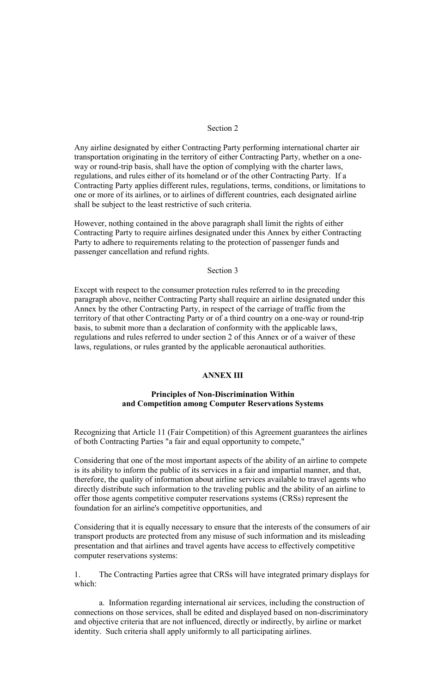## Section 2

Any airline designated by either Contracting Party performing international charter air transportation originating in the territory of either Contracting Party, whether on a oneway or round-trip basis, shall have the option of complying with the charter laws, regulations, and rules either of its homeland or of the other Contracting Party. If a Contracting Party applies different rules, regulations, terms, conditions, or limitations to one or more of its airlines, or to airlines of different countries, each designated airline shall be subject to the least restrictive of such criteria.

However, nothing contained in the above paragraph shall limit the rights of either Contracting Party to require airlines designated under this Annex by either Contracting Party to adhere to requirements relating to the protection of passenger funds and passenger cancellation and refund rights.

### Section 3

Except with respect to the consumer protection rules referred to in the preceding paragraph above, neither Contracting Party shall require an airline designated under this Annex by the other Contracting Party, in respect of the carriage of traffic from the territory of that other Contracting Party or of a third country on a one-way or round-trip basis, to submit more than a declaration of conformity with the applicable laws, regulations and rules referred to under section 2 of this Annex or of a waiver of these laws, regulations, or rules granted by the applicable aeronautical authorities.

## **ANNEX III**

## **Principles of Non-Discrimination Within and Competition among Computer Reservations Systems**

Recognizing that Article 11 (Fair Competition) of this Agreement guarantees the airlines of both Contracting Parties "a fair and equal opportunity to compete,"

Considering that one of the most important aspects of the ability of an airline to compete is its ability to inform the public of its services in a fair and impartial manner, and that, therefore, the quality of information about airline services available to travel agents who directly distribute such information to the traveling public and the ability of an airline to offer those agents competitive computer reservations systems (CRSs) represent the foundation for an airline's competitive opportunities, and

Considering that it is equally necessary to ensure that the interests of the consumers of air transport products are protected from any misuse of such information and its misleading presentation and that airlines and travel agents have access to effectively competitive computer reservations systems:

1. The Contracting Parties agree that CRSs will have integrated primary displays for which:

a. Information regarding international air services, including the construction of connections on those services, shall be edited and displayed based on non-discriminatory and objective criteria that are not influenced, directly or indirectly, by airline or market identity. Such criteria shall apply uniformly to all participating airlines.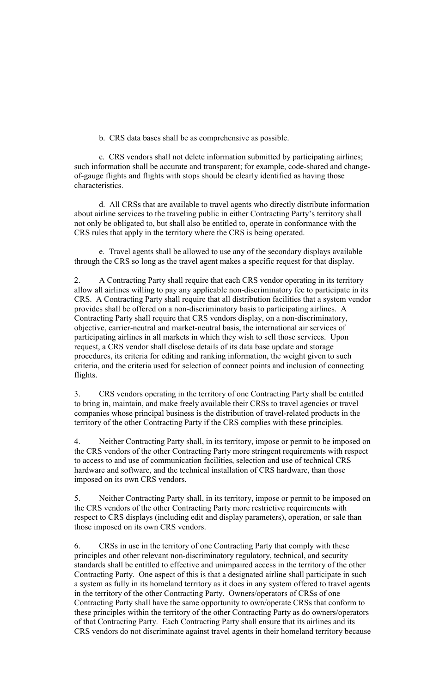b. CRS data bases shall be as comprehensive as possible.

c. CRS vendors shall not delete information submitted by participating airlines; such information shall be accurate and transparent; for example, code-shared and changeof-gauge flights and flights with stops should be clearly identified as having those characteristics.

d. All CRSs that are available to travel agents who directly distribute information about airline services to the traveling public in either Contracting Party's territory shall not only be obligated to, but shall also be entitled to, operate in conformance with the CRS rules that apply in the territory where the CRS is being operated.

e. Travel agents shall be allowed to use any of the secondary displays available through the CRS so long as the travel agent makes a specific request for that display.

2. A Contracting Party shall require that each CRS vendor operating in its territory allow all airlines willing to pay any applicable non-discriminatory fee to participate in its CRS. A Contracting Party shall require that all distribution facilities that a system vendor provides shall be offered on a non-discriminatory basis to participating airlines. A Contracting Party shall require that CRS vendors display, on a non-discriminatory, objective, carrier-neutral and market-neutral basis, the international air services of participating airlines in all markets in which they wish to sell those services. Upon request, a CRS vendor shall disclose details of its data base update and storage procedures, its criteria for editing and ranking information, the weight given to such criteria, and the criteria used for selection of connect points and inclusion of connecting flights.

3. CRS vendors operating in the territory of one Contracting Party shall be entitled to bring in, maintain, and make freely available their CRSs to travel agencies or travel companies whose principal business is the distribution of travel-related products in the territory of the other Contracting Party if the CRS complies with these principles.

4. Neither Contracting Party shall, in its territory, impose or permit to be imposed on the CRS vendors of the other Contracting Party more stringent requirements with respect to access to and use of communication facilities, selection and use of technical CRS hardware and software, and the technical installation of CRS hardware, than those imposed on its own CRS vendors.

5. Neither Contracting Party shall, in its territory, impose or permit to be imposed on the CRS vendors of the other Contracting Party more restrictive requirements with respect to CRS displays (including edit and display parameters), operation, or sale than those imposed on its own CRS vendors.

6. CRSs in use in the territory of one Contracting Party that comply with these principles and other relevant non-discriminatory regulatory, technical, and security standards shall be entitled to effective and unimpaired access in the territory of the other Contracting Party. One aspect of this is that a designated airline shall participate in such a system as fully in its homeland territory as it does in any system offered to travel agents in the territory of the other Contracting Party. Owners/operators of CRSs of one Contracting Party shall have the same opportunity to own/operate CRSs that conform to these principles within the territory of the other Contracting Party as do owners/operators of that Contracting Party. Each Contracting Party shall ensure that its airlines and its CRS vendors do not discriminate against travel agents in their homeland territory because